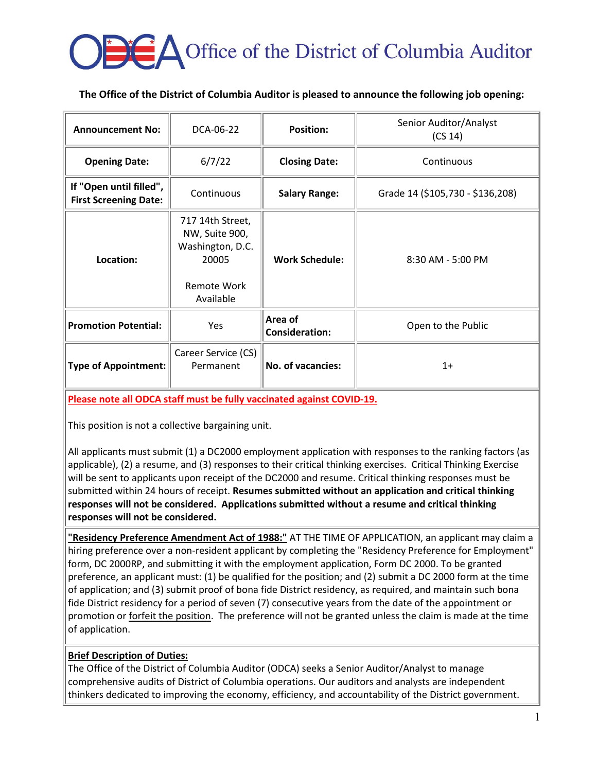# $\sum_{i=1}^{n} \Delta$  Office of the District of Columbia Auditor

## **The Office of the District of Columbia Auditor is pleased to announce the following job opening:**

| <b>Announcement No:</b>                                 | DCA-06-22                                                                                   | <b>Position:</b>                 | Senior Auditor/Analyst<br>(CS 14) |
|---------------------------------------------------------|---------------------------------------------------------------------------------------------|----------------------------------|-----------------------------------|
| <b>Opening Date:</b>                                    | 6/7/22                                                                                      | <b>Closing Date:</b>             | Continuous                        |
| If "Open until filled",<br><b>First Screening Date:</b> | Continuous                                                                                  | <b>Salary Range:</b>             | Grade 14 (\$105,730 - \$136,208)  |
| Location:                                               | 717 14th Street,<br>NW, Suite 900,<br>Washington, D.C.<br>20005<br>Remote Work<br>Available | <b>Work Schedule:</b>            | 8:30 AM - 5:00 PM                 |
| <b>Promotion Potential:</b>                             | Yes                                                                                         | Area of<br><b>Consideration:</b> | Open to the Public                |
| <b>Type of Appointment:</b>                             | Career Service (CS)<br>Permanent                                                            | <b>No. of vacancies:</b>         | $1+$                              |

**Please note all ODCA staff must be fully vaccinated against COVID-19.**

This position is not a collective bargaining unit.

All applicants must submit (1) a DC2000 employment application with responses to the ranking factors (as applicable), (2) a resume, and (3) responses to their critical thinking exercises. Critical Thinking Exercise will be sent to applicants upon receipt of the DC2000 and resume. Critical thinking responses must be submitted within 24 hours of receipt. **Resumes submitted without an application and critical thinking responses will not be considered. Applications submitted without a resume and critical thinking responses will not be considered.**

**"Residency Preference Amendment Act of 1988:"** AT THE TIME OF APPLICATION, an applicant may claim a hiring preference over a non-resident applicant by completing the "Residency Preference for Employment" form, DC 2000RP, and submitting it with the employment application, Form DC 2000. To be granted preference, an applicant must: (1) be qualified for the position; and (2) submit a DC 2000 form at the time of application; and (3) submit proof of bona fide District residency, as required, and maintain such bona fide District residency for a period of seven (7) consecutive years from the date of the appointment or promotion or forfeit the position. The preference will not be granted unless the claim is made at the time of application.

## **Brief Description of Duties:**

The Office of the District of Columbia Auditor (ODCA) seeks a Senior Auditor/Analyst to manage comprehensive audits of District of Columbia operations. Our auditors and analysts are independent thinkers dedicated to improving the economy, efficiency, and accountability of the District government.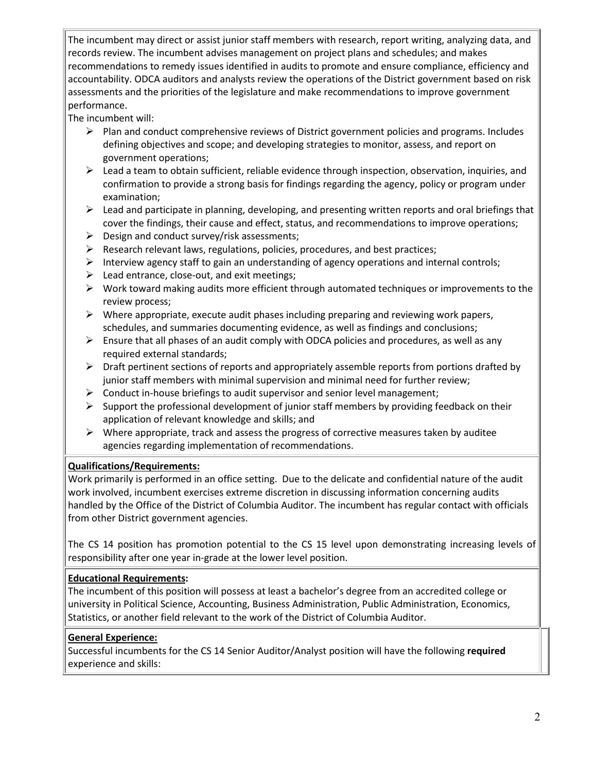The incumbent may direct or assist junior staff members with research, report writing, analyzing data, and records review. The incumbent advises management on project plans and schedules; and makes recommendations to remedy issues identified in audits to promote and ensure compliance, efficiency and accountability. ODCA auditors and analysts review the operations of the District government based on risk assessments and the priorities of the legislature and make recommendations to improve government performance.

The incumbent will:

- $\triangleright$  Plan and conduct comprehensive reviews of District government policies and programs. Includes defining objectives and scope; and developing strategies to monitor, assess, and report on government operations;
- $\triangleright$  Lead a team to obtain sufficient, reliable evidence through inspection, observation, inquiries, and confirmation to provide a strong basis for findings regarding the agency, policy or program under examination;
- $\triangleright$  Lead and participate in planning, developing, and presenting written reports and oral briefings that cover the findings, their cause and effect, status, and recommendations to improve operations;
- $\triangleright$  Design and conduct survey/risk assessments;
- $\triangleright$  Research relevant laws, regulations, policies, procedures, and best practices;
- $\triangleright$  Interview agency staff to gain an understanding of agency operations and internal controls;
- $\triangleright$  Lead entrance, close-out, and exit meetings;
- $\triangleright$  Work toward making audits more efficient through automated techniques or improvements to the review process;
- $\triangleright$  Where appropriate, execute audit phases including preparing and reviewing work papers, schedules, and summaries documenting evidence, as well as findings and conclusions;
- $\triangleright$  Ensure that all phases of an audit comply with ODCA policies and procedures, as well as any required external standards;
- $\triangleright$  Draft pertinent sections of reports and appropriately assemble reports from portions drafted by junior staff members with minimal supervision and minimal need for further review;
- $\triangleright$  Conduct in-house briefings to audit supervisor and senior level management;
- $\triangleright$  Support the professional development of junior staff members by providing feedback on their application of relevant knowledge and skills; and
- $\triangleright$  Where appropriate, track and assess the progress of corrective measures taken by auditee agencies regarding implementation of recommendations.

## **Qualifications/Requirements:**

Work primarily is performed in an office setting. Due to the delicate and confidential nature of the audit work involved, incumbent exercises extreme discretion in discussing information concerning audits handled by the Office of the District of Columbia Auditor. The incumbent has regular contact with officials from other District government agencies.

The CS 14 position has promotion potential to the CS 15 level upon demonstrating increasing levels of responsibility after one year in-grade at the lower level position.

## **Educational Requirements:**

The incumbent of this position will possess at least a bachelor's degree from an accredited college or university in Political Science, Accounting, Business Administration, Public Administration, Economics, Statistics, or another field relevant to the work of the District of Columbia Auditor.

## **General Experience:**

Successful incumbents for the CS 14 Senior Auditor/Analyst position will have the following **required** experience and skills: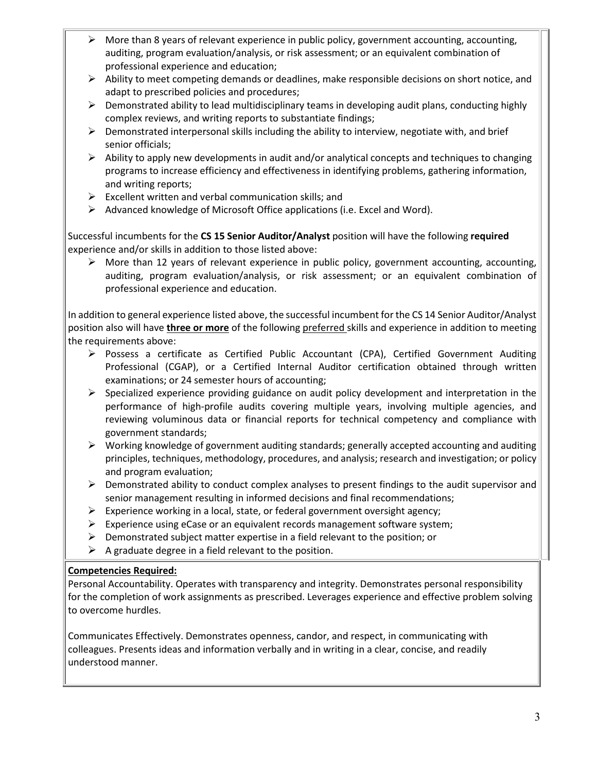- $\triangleright$  More than 8 years of relevant experience in public policy, government accounting, accounting, auditing, program evaluation/analysis, or risk assessment; or an equivalent combination of professional experience and education;
- $\triangleright$  Ability to meet competing demands or deadlines, make responsible decisions on short notice, and adapt to prescribed policies and procedures;
- $\triangleright$  Demonstrated ability to lead multidisciplinary teams in developing audit plans, conducting highly complex reviews, and writing reports to substantiate findings;
- $\triangleright$  Demonstrated interpersonal skills including the ability to interview, negotiate with, and brief senior officials;
- $\triangleright$  Ability to apply new developments in audit and/or analytical concepts and techniques to changing programs to increase efficiency and effectiveness in identifying problems, gathering information, and writing reports;
- $\triangleright$  Excellent written and verbal communication skills; and
- $\triangleright$  Advanced knowledge of Microsoft Office applications (i.e. Excel and Word).

Successful incumbents for the **CS 15 Senior Auditor/Analyst** position will have the following **required** experience and/or skills in addition to those listed above:

 $\triangleright$  More than 12 years of relevant experience in public policy, government accounting, accounting, auditing, program evaluation/analysis, or risk assessment; or an equivalent combination of professional experience and education.

In addition to general experience listed above, the successful incumbent for the CS 14 Senior Auditor/Analyst position also will have **three or more** of the following preferred skills and experience in addition to meeting the requirements above:

- Possess a certificate as Certified Public Accountant (CPA), Certified Government Auditing Professional (CGAP), or a Certified Internal Auditor certification obtained through written examinations; or 24 semester hours of accounting;
- $\triangleright$  Specialized experience providing guidance on audit policy development and interpretation in the performance of high-profile audits covering multiple years, involving multiple agencies, and reviewing voluminous data or financial reports for technical competency and compliance with government standards;
- $\triangleright$  Working knowledge of government auditing standards; generally accepted accounting and auditing principles, techniques, methodology, procedures, and analysis; research and investigation; or policy and program evaluation;
- $\triangleright$  Demonstrated ability to conduct complex analyses to present findings to the audit supervisor and senior management resulting in informed decisions and final recommendations;
- $\triangleright$  Experience working in a local, state, or federal government oversight agency;
- $\triangleright$  Experience using eCase or an equivalent records management software system;
- $\triangleright$  Demonstrated subject matter expertise in a field relevant to the position; or
- $\triangleright$  A graduate degree in a field relevant to the position.

#### **Competencies Required:**

Personal Accountability. Operates with transparency and integrity. Demonstrates personal responsibility for the completion of work assignments as prescribed. Leverages experience and effective problem solving to overcome hurdles.

Communicates Effectively. Demonstrates openness, candor, and respect, in communicating with colleagues. Presents ideas and information verbally and in writing in a clear, concise, and readily understood manner.